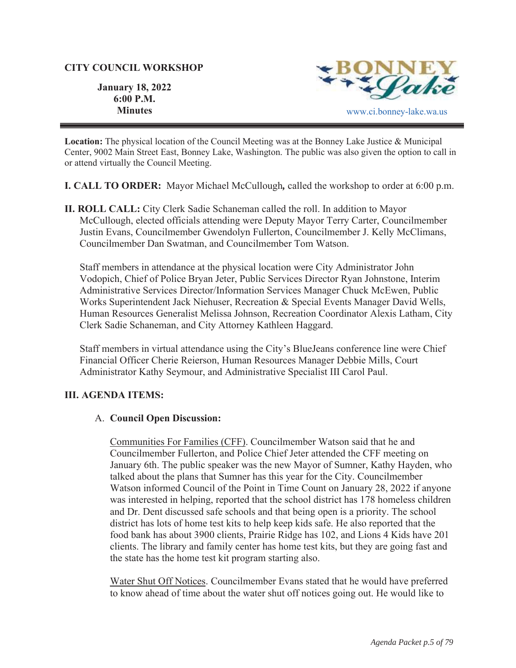## **CITY COUNCIL WORKSHOP**

Paké

**January 18, 2022 6:00 P.M. Minutes** www.ci.bonney-lake.wa.us

**Location:** The physical location of the Council Meeting was at the Bonney Lake Justice & Municipal Center, 9002 Main Street East, Bonney Lake, Washington. The public was also given the option to call in or attend virtually the Council Meeting.

**I. CALL TO ORDER:** Mayor Michael McCullough*,* called the workshop to order at 6:00 p.m.

**II. ROLL CALL:** City Clerk Sadie Schaneman called the roll. In addition to Mayor McCullough, elected officials attending were Deputy Mayor Terry Carter, Councilmember Justin Evans, Councilmember Gwendolyn Fullerton, Councilmember J. Kelly McClimans, Councilmember Dan Swatman, and Councilmember Tom Watson.

Staff members in attendance at the physical location were City Administrator John Vodopich, Chief of Police Bryan Jeter, Public Services Director Ryan Johnstone, Interim Administrative Services Director/Information Services Manager Chuck McEwen, Public Works Superintendent Jack Niehuser, Recreation & Special Events Manager David Wells, Human Resources Generalist Melissa Johnson, Recreation Coordinator Alexis Latham, City Clerk Sadie Schaneman, and City Attorney Kathleen Haggard.

Staff members in virtual attendance using the City's BlueJeans conference line were Chief Financial Officer Cherie Reierson, Human Resources Manager Debbie Mills, Court Administrator Kathy Seymour, and Administrative Specialist III Carol Paul.

## **III. AGENDA ITEMS:**

## A. **Council Open Discussion:**

Communities For Families (CFF). Councilmember Watson said that he and Councilmember Fullerton, and Police Chief Jeter attended the CFF meeting on January 6th. The public speaker was the new Mayor of Sumner, Kathy Hayden, who talked about the plans that Sumner has this year for the City. Councilmember Watson informed Council of the Point in Time Count on January 28, 2022 if anyone was interested in helping, reported that the school district has 178 homeless children and Dr. Dent discussed safe schools and that being open is a priority. The school district has lots of home test kits to help keep kids safe. He also reported that the food bank has about 3900 clients, Prairie Ridge has 102, and Lions 4 Kids have 201 clients. The library and family center has home test kits, but they are going fast and the state has the home test kit program starting also.

Water Shut Off Notices. Councilmember Evans stated that he would have preferred to know ahead of time about the water shut off notices going out. He would like to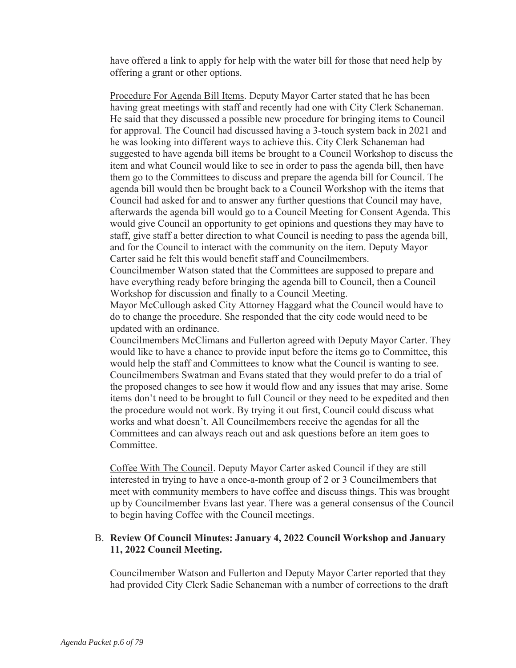have offered a link to apply for help with the water bill for those that need help by offering a grant or other options.

Procedure For Agenda Bill Items. Deputy Mayor Carter stated that he has been having great meetings with staff and recently had one with City Clerk Schaneman. He said that they discussed a possible new procedure for bringing items to Council for approval. The Council had discussed having a 3-touch system back in 2021 and he was looking into different ways to achieve this. City Clerk Schaneman had suggested to have agenda bill items be brought to a Council Workshop to discuss the item and what Council would like to see in order to pass the agenda bill, then have them go to the Committees to discuss and prepare the agenda bill for Council. The agenda bill would then be brought back to a Council Workshop with the items that Council had asked for and to answer any further questions that Council may have, afterwards the agenda bill would go to a Council Meeting for Consent Agenda. This would give Council an opportunity to get opinions and questions they may have to staff, give staff a better direction to what Council is needing to pass the agenda bill, and for the Council to interact with the community on the item. Deputy Mayor Carter said he felt this would benefit staff and Councilmembers.

Councilmember Watson stated that the Committees are supposed to prepare and have everything ready before bringing the agenda bill to Council, then a Council Workshop for discussion and finally to a Council Meeting.

Mayor McCullough asked City Attorney Haggard what the Council would have to do to change the procedure. She responded that the city code would need to be updated with an ordinance.

Councilmembers McClimans and Fullerton agreed with Deputy Mayor Carter. They would like to have a chance to provide input before the items go to Committee, this would help the staff and Committees to know what the Council is wanting to see. Councilmembers Swatman and Evans stated that they would prefer to do a trial of the proposed changes to see how it would flow and any issues that may arise. Some items don't need to be brought to full Council or they need to be expedited and then the procedure would not work. By trying it out first, Council could discuss what works and what doesn't. All Councilmembers receive the agendas for all the Committees and can always reach out and ask questions before an item goes to Committee.

Coffee With The Council. Deputy Mayor Carter asked Council if they are still interested in trying to have a once-a-month group of 2 or 3 Councilmembers that meet with community members to have coffee and discuss things. This was brought up by Councilmember Evans last year. There was a general consensus of the Council to begin having Coffee with the Council meetings.

# B. **Review Of Council Minutes: January 4, 2022 Council Workshop and January 11, 2022 Council Meeting.**

Councilmember Watson and Fullerton and Deputy Mayor Carter reported that they had provided City Clerk Sadie Schaneman with a number of corrections to the draft